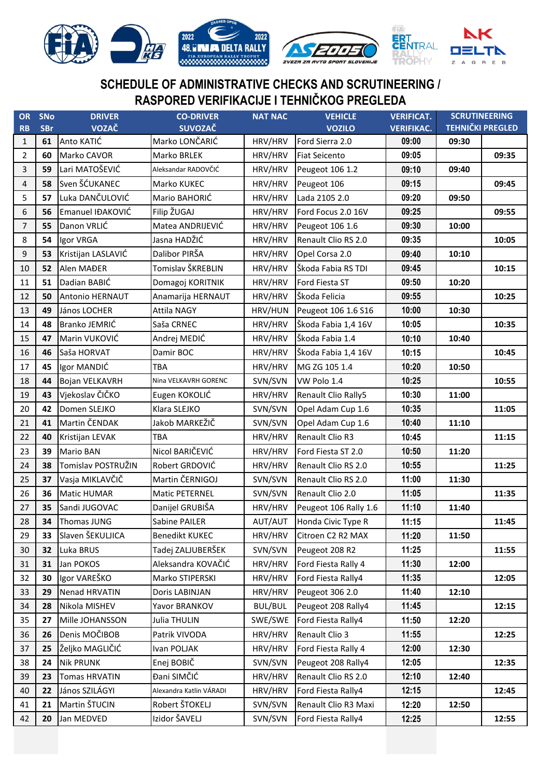

## **SCHEDULE OF ADMINISTRATIVE CHECKS AND SCRUTINEERING / RASPORED VERIFIKACIJE I TEHNIČKOG PREGLEDA**

| OR             | <b>SNo</b> | <b>DRIVER</b>        | <b>CO-DRIVER</b>        | <b>NAT NAC</b> | <b>VEHICLE</b>        | <b>VERIFICAT.</b> | <b>SCRUTINEERING</b>    |       |
|----------------|------------|----------------------|-------------------------|----------------|-----------------------|-------------------|-------------------------|-------|
| <b>RB</b>      | <b>SBr</b> | VOZAČ                | <b>SUVOZAČ</b>          |                | <b>VOZILO</b>         | <b>VERIFIKAC.</b> | <b>TEHNIČKI PREGLED</b> |       |
| $\mathbf{1}$   | 61         | Anto KATIĆ           | Marko LONČARIĆ          | HRV/HRV        | Ford Sierra 2.0       | 09:00             | 09:30                   |       |
| 2              | 60         | Marko CAVOR          | Marko BRLEK             | HRV/HRV        | <b>Fiat Seicento</b>  | 09:05             |                         | 09:35 |
| 3              | 59         | Lari MATOŠEVIĆ       | Aleksandar RADOVČIĆ     | HRV/HRV        | Peugeot 106 1.2       | 09:10             | 09:40                   |       |
| 4              | 58         | Sven ŠĆUKANEC        | Marko KUKEC             | HRV/HRV        | Peugeot 106           | 09:15             |                         | 09:45 |
| 5              | 57         | Luka DANČULOVIĆ      | Mario BAHORIĆ           | HRV/HRV        | Lada 2105 2.0         | 09:20             | 09:50                   |       |
| 6              | 56         | Emanuel IĐAKOVIĆ     | Filip ŽUGAJ             | HRV/HRV        | Ford Focus 2.0 16V    | 09:25             |                         | 09:55 |
| $\overline{7}$ | 55         | Danon VRLIĆ          | Matea ANDRIJEVIĆ        | HRV/HRV        | Peugeot 106 1.6       | 09:30             | 10:00                   |       |
| 8              | 54         | Igor VRGA            | Jasna HADŽIĆ            | HRV/HRV        | Renault Clio RS 2.0   | 09:35             |                         | 10:05 |
| 9              | 53         | Kristijan LASLAVIĆ   | Dalibor PIRŠA           | HRV/HRV        | Opel Corsa 2.0        | 09:40             | 10:10                   |       |
| 10             | 52         | Alen MAĐER           | Tomislav ŠKREBLIN       | HRV/HRV        | Škoda Fabia RS TDI    | 09:45             |                         | 10:15 |
| 11             | 51         | Dadian BABIĆ         | Domagoj KORITNIK        | HRV/HRV        | Ford Fiesta ST        | 09:50             | 10:20                   |       |
| 12             | 50         | Antonio HERNAUT      | Anamarija HERNAUT       | HRV/HRV        | Škoda Felicia         | 09:55             |                         | 10:25 |
| 13             | 49         | János LOCHER         | <b>Attila NAGY</b>      | HRV/HUN        | Peugeot 106 1.6 S16   | 10:00             | 10:30                   |       |
| 14             | 48         | Branko JEMRIĆ        | Saša CRNEC              | HRV/HRV        | Škoda Fabia 1,4 16V   | 10:05             |                         | 10:35 |
| 15             | 47         | Marin VUKOVIĆ        | Andrej MEDIĆ            | HRV/HRV        | Škoda Fabia 1.4       | 10:10             | 10:40                   |       |
| 16             | 46         | Saša HORVAT          | Damir BOC               | HRV/HRV        | Škoda Fabia 1,4 16V   | 10:15             |                         | 10:45 |
| 17             | 45         | Igor MANDIĆ          | TBA                     | HRV/HRV        | MG ZG 105 1.4         | 10:20             | 10:50                   |       |
| 18             | 44         | Bojan VELKAVRH       | Nina VELKAVRH GORENC    | SVN/SVN        | VW Polo 1.4           | 10:25             |                         | 10:55 |
| 19             | 43         | Vjekoslav ČIČKO      | Eugen KOKOLIĆ           | HRV/HRV        | Renault Clio Rally5   | 10:30             | 11:00                   |       |
| 20             | 42         | Domen SLEJKO         | Klara SLEJKO            | SVN/SVN        | Opel Adam Cup 1.6     | 10:35             |                         | 11:05 |
| 21             | 41         | Martin ČENDAK        | Jakob MARKEŽIČ          | SVN/SVN        | Opel Adam Cup 1.6     | 10:40             | 11:10                   |       |
| 22             | 40         | Kristijan LEVAK      | TBA                     | HRV/HRV        | Renault Clio R3       | 10:45             |                         | 11:15 |
| 23             | 39         | <b>Mario BAN</b>     | Nicol BARIČEVIĆ         | HRV/HRV        | Ford Fiesta ST 2.0    | 10:50             | 11:20                   |       |
| 24             | 38         | Tomislav POSTRUŽIN   | Robert GRDOVIĆ          | HRV/HRV        | Renault Clio RS 2.0   | 10:55             |                         | 11:25 |
| 25             | 37         | Vasja MIKLAVČIČ      | Martin ČERNIGOJ         | SVN/SVN        | Renault Clio RS 2.0   | 11:00             | 11:30                   |       |
| 26             | 36         | <b>Matic HUMAR</b>   | Matic PETERNEL          | SVN/SVN        | Renault Clio 2.0      | 11:05             |                         | 11:35 |
| 27             | 35         | Sandi JUGOVAC        | Danijel GRUBIŠA         | HRV/HRV        | Peugeot 106 Rally 1.6 | 11:10             | 11:40                   |       |
| 28             |            | 34 Thomas JUNG       | Sabine PAILER           | AUT/AUT        | Honda Civic Type R    | 11:15             |                         | 11:45 |
| 29             | 33         | Slaven ŠEKULJICA     | <b>Benedikt KUKEC</b>   | HRV/HRV        | Citroen C2 R2 MAX     | 11:20             | 11:50                   |       |
| 30             | 32         | Luka BRUS            | Tadej ZALJUBERŠEK       | SVN/SVN        | Peugeot 208 R2        | 11:25             |                         | 11:55 |
| 31             | 31         | Jan POKOS            | Aleksandra KOVAČIĆ      | HRV/HRV        | Ford Fiesta Rally 4   | 11:30             | 12:00                   |       |
| 32             | 30         | Igor VAREŠKO         | Marko STIPERSKI         | HRV/HRV        | Ford Fiesta Rally4    | 11:35             |                         | 12:05 |
| 33             | 29         | Nenad HRVATIN        | Doris LABINJAN          | HRV/HRV        | Peugeot 306 2.0       | 11:40             | 12:10                   |       |
| 34             | 28         | Nikola MISHEV        | Yavor BRANKOV           | <b>BUL/BUL</b> | Peugeot 208 Rally4    | 11:45             |                         | 12:15 |
| 35             | 27         | Mille JOHANSSON      | Julia THULIN            | SWE/SWE        | Ford Fiesta Rally4    | 11:50             | 12:20                   |       |
| 36             | 26         | Denis MOČIBOB        | Patrik VIVODA           | HRV/HRV        | Renault Clio 3        | 11:55             |                         | 12:25 |
| 37             | 25         | Željko MAGLIČIĆ      | Ivan POLJAK             | HRV/HRV        | Ford Fiesta Rally 4   | 12:00             | 12:30                   |       |
| 38             | 24         | <b>Nik PRUNK</b>     | Enej BOBIČ              | SVN/SVN        | Peugeot 208 Rally4    | 12:05             |                         | 12:35 |
| 39             | 23         | <b>Tomas HRVATIN</b> | Đani SIMČIĆ             | HRV/HRV        | Renault Clio RS 2.0   | 12:10             | 12:40                   |       |
| 40             | 22         | János SZILÁGYI       | Alexandra Katlin VÁRADI | HRV/HRV        | Ford Fiesta Rally4    | 12:15             |                         | 12:45 |
| 41             | 21         | Martin ŠTUCIN        | Robert ŠTOKELJ          | SVN/SVN        | Renault Clio R3 Maxi  | 12:20             | 12:50                   |       |
| 42             | 20         | Jan MEDVED           | Izidor ŠAVELJ           | SVN/SVN        | Ford Fiesta Rally4    | 12:25             |                         | 12:55 |